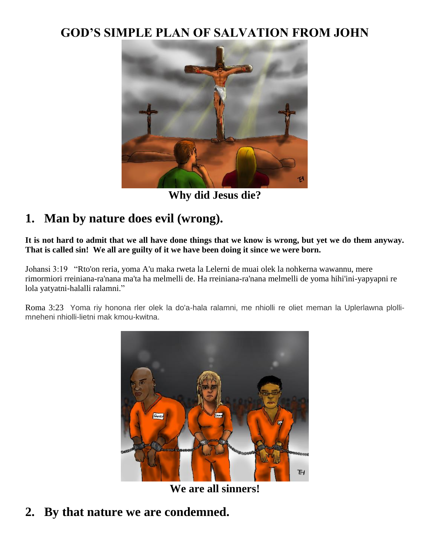#### **GOD'S SIMPLE PLAN OF SALVATION FROM JOHN**



**Why did Jesus die?**

### **1. Man by nature does evil (wrong).**

**It is not hard to admit that we all have done things that we know is wrong, but yet we do them anyway. That is called sin! We all are guilty of it we have been doing it since we were born.**

Johansi 3:19 "Rto'on reria, yoma A'u maka rweta la Lelerni de muai olek la nohkerna wawannu, mere rimormiori rreiniana-ra'nana ma'ta ha melmelli de. Ha rreiniana-ra'nana melmelli de yoma hihi'ini-yapyapni re lola yatyatni-halalli ralamni."

Roma 3:23 Yoma riy honona rler olek la do'a-hala ralamni, me nhiolli re oliet meman la Uplerlawna plollimneheni nhiolli-lietni mak kmou-kwitna.



**We are all sinners!**

**2. By that nature we are condemned.**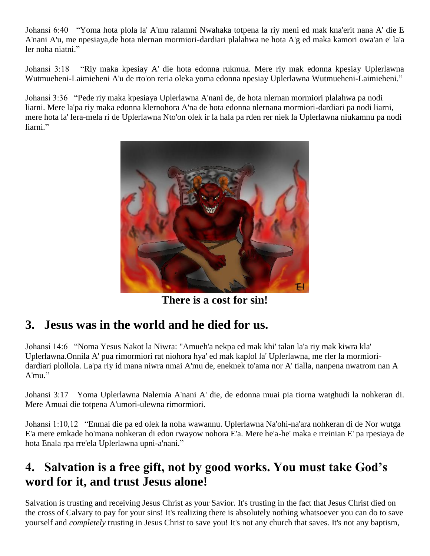Johansi 6:40 "Yoma hota plola la' A'mu ralamni Nwahaka totpena la riy meni ed mak kna'erit nana A' die E A'nani A'u, me npesiaya,de hota nlernan mormiori-dardiari plalahwa ne hota A'g ed maka kamori owa'an e' la'a ler noha niatni."

Johansi 3:18 "Riy maka kpesiay A' die hota edonna rukmua. Mere riy mak edonna kpesiay Uplerlawna Wutmueheni-Laimieheni A'u de rto'on reria oleka yoma edonna npesiay Uplerlawna Wutmueheni-Laimieheni."

Johansi 3:36 "Pede riy maka kpesiaya Uplerlawna A'nani de, de hota nlernan mormiori plalahwa pa nodi liarni. Mere la'pa riy maka edonna klernohora A'na de hota edonna nlernana mormiori-dardiari pa nodi liarni, mere hota la' lera-mela ri de Uplerlawna Nto'on olek ir la hala pa rden rer niek la Uplerlawna niukamnu pa nodi liarni."



**There is a cost for sin!**

# **3. Jesus was in the world and he died for us.**

Johansi 14:6 "Noma Yesus Nakot la Niwra: "Amueh'a nekpa ed mak khi' talan la'a riy mak kiwra kla' Uplerlawna.Onnila A' pua rimormiori rat niohora hya' ed mak kaplol la' Uplerlawna, me rler la mormioridardiari plollola. La'pa riy id mana niwra nmai A'mu de, eneknek to'ama nor A' tialla, nanpena nwatrom nan A A'mu."

Johansi 3:17 Yoma Uplerlawna Nalernia A'nani A' die, de edonna muai pia tiorna watghudi la nohkeran di. Mere Amuai die totpena A'umori-ulewna rimormiori.

Johansi 1:10,12 "Enmai die pa ed olek la noha wawannu. Uplerlawna Na'ohi-na'ara nohkeran di de Nor wutga E'a mere emkade ho'mana nohkeran di edon rwayow nohora E'a. Mere he'a-he' maka e rreinian E' pa rpesiaya de hota Enala rpa rre'ela Uplerlawna upni-a'nani."

### **4. Salvation is a free gift, not by good works. You must take God's word for it, and trust Jesus alone!**

Salvation is trusting and receiving Jesus Christ as your Savior. It's trusting in the fact that Jesus Christ died on the cross of Calvary to pay for your sins! It's realizing there is absolutely nothing whatsoever you can do to save yourself and *completely* trusting in Jesus Christ to save you! It's not any church that saves. It's not any baptism,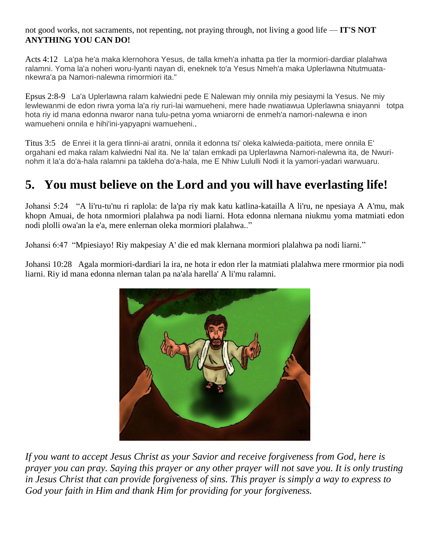not good works, not sacraments, not repenting, not praying through, not living a good life — **IT'S NOT ANYTHING YOU CAN DO!**

Acts 4:12 La'pa he'a maka klernohora Yesus, de talla kmeh'a inhatta pa tler la mormiori-dardiar plalahwa ralamni. Yoma la'a noheri woru-lyanti nayan di, eneknek to'a Yesus Nmeh'a maka Uplerlawna Ntutmuatankewra'a pa Namori-nalewna rimormiori ita."

Epsus 2:8-9 La'a Uplerlawna ralam kalwiedni pede E Nalewan miy onnila miy pesiaymi la Yesus. Ne miy lewlewanmi de edon riwra yoma la'a riy ruri-lai wamueheni, mere hade nwatiawua Uplerlawna sniayanni totpa hota riy id mana edonna nwaror nana tulu-petna yoma wniarorni de enmeh'a namori-nalewna e inon wamueheni onnila e hihi'ini-yapyapni wamueheni..

Titus 3:5 de Enrei it la gera tlinni-ai aratni, onnila it edonna tsi' oleka kalwieda-paitiota, mere onnila E' orgahani ed maka ralam kalwiedni Nal ita. Ne la' talan emkadi pa Uplerlawna Namori-nalewna ita, de Nwurinohm it la'a do'a-hala ralamni pa takleha do'a-hala, me E Nhiw Lululli Nodi it la yamori-yadari warwuaru.

## **5. You must believe on the Lord and you will have everlasting life!**

Johansi 5:24 "A li'ru-tu'nu ri raplola: de la'pa riy mak katu katlina-katailla A li'ru, ne npesiaya A A'mu, mak khopn Amuai, de hota nmormiori plalahwa pa nodi liarni. Hota edonna nlernana niukmu yoma matmiati edon nodi plolli owa'an la e'a, mere enlernan oleka mormiori plalahwa.."

Johansi 6:47 "Mpiesiayo! Riy makpesiay A' die ed mak klernana mormiori plalahwa pa nodi liarni."

Johansi 10:28 Agala mormiori-dardiari la ira, ne hota ir edon rler la matmiati plalahwa mere rmormior pia nodi liarni. Riy id mana edonna nlernan talan pa na'ala harella' A li'mu ralamni.



*If you want to accept Jesus Christ as your Savior and receive forgiveness from God, here is prayer you can pray. Saying this prayer or any other prayer will not save you. It is only trusting in Jesus Christ that can provide forgiveness of sins. This prayer is simply a way to express to God your faith in Him and thank Him for providing for your forgiveness.*